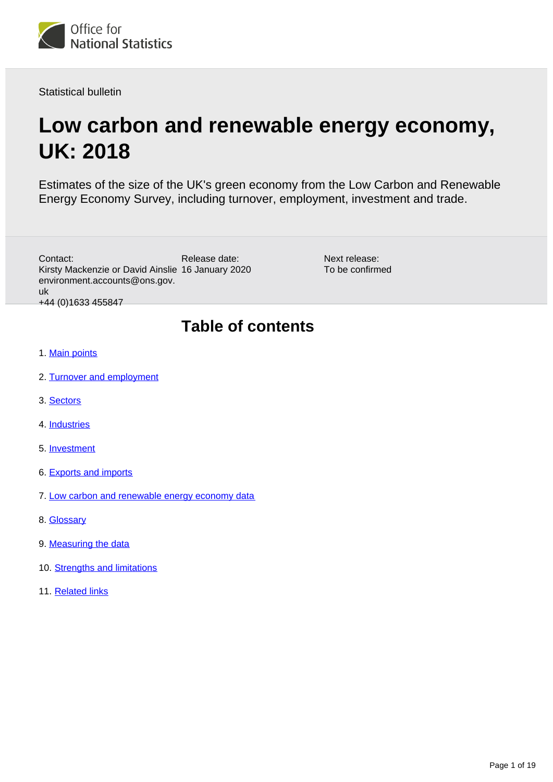<span id="page-0-0"></span>

Statistical bulletin

# **Low carbon and renewable energy economy, UK: 2018**

Estimates of the size of the UK's green economy from the Low Carbon and Renewable Energy Economy Survey, including turnover, employment, investment and trade.

| Contact:<br>Kirsty Mackenzie or David Ainslie 16 January 2020<br>environment.accounts@ons.gov.<br>uk<br>+44 (0)1633 455847 | Release date:            | Next release:<br>To be confirmed |
|----------------------------------------------------------------------------------------------------------------------------|--------------------------|----------------------------------|
|                                                                                                                            | <b>Table of contents</b> |                                  |

- 1. [Main points](#page-1-0)
- 2. [Turnover and employment](#page-1-1)
- 3. [Sectors](#page-4-0)
- 4. [Industries](#page-6-0)
- 5. [Investment](#page-9-0)
- 6. [Exports and imports](#page-11-0)
- 7. [Low carbon and renewable energy economy data](#page-14-0)
- 8. [Glossary](#page-14-1)
- 9. [Measuring the data](#page-14-2)
- 10. [Strengths and limitations](#page-16-0)
- 11. [Related links](#page-18-0)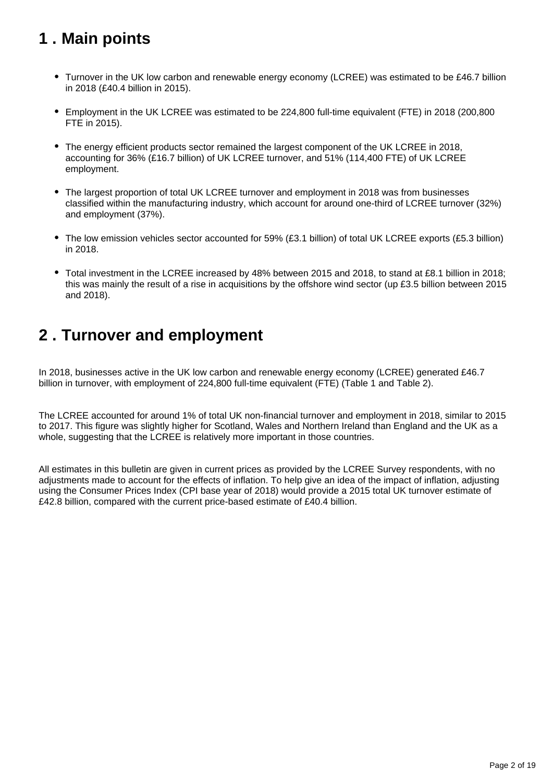# <span id="page-1-0"></span>**1 . Main points**

- Turnover in the UK low carbon and renewable energy economy (LCREE) was estimated to be £46.7 billion in 2018 (£40.4 billion in 2015).
- Employment in the UK LCREE was estimated to be 224,800 full-time equivalent (FTE) in 2018 (200,800 FTE in 2015).
- The energy efficient products sector remained the largest component of the UK LCREE in 2018, accounting for 36% (£16.7 billion) of UK LCREE turnover, and 51% (114,400 FTE) of UK LCREE employment.
- The largest proportion of total UK LCREE turnover and employment in 2018 was from businesses classified within the manufacturing industry, which account for around one-third of LCREE turnover (32%) and employment (37%).
- The low emission vehicles sector accounted for 59% (£3.1 billion) of total UK LCREE exports (£5.3 billion) in 2018.
- Total investment in the LCREE increased by 48% between 2015 and 2018, to stand at £8.1 billion in 2018; this was mainly the result of a rise in acquisitions by the offshore wind sector (up £3.5 billion between 2015 and 2018).

## <span id="page-1-1"></span>**2 . Turnover and employment**

In 2018, businesses active in the UK low carbon and renewable energy economy (LCREE) generated £46.7 billion in turnover, with employment of 224,800 full-time equivalent (FTE) (Table 1 and Table 2).

The LCREE accounted for around 1% of total UK non-financial turnover and employment in 2018, similar to 2015 to 2017. This figure was slightly higher for Scotland, Wales and Northern Ireland than England and the UK as a whole, suggesting that the LCREE is relatively more important in those countries.

All estimates in this bulletin are given in current prices as provided by the LCREE Survey respondents, with no adjustments made to account for the effects of inflation. To help give an idea of the impact of inflation, adjusting using the Consumer Prices Index (CPI base year of 2018) would provide a 2015 total UK turnover estimate of £42.8 billion, compared with the current price-based estimate of £40.4 billion.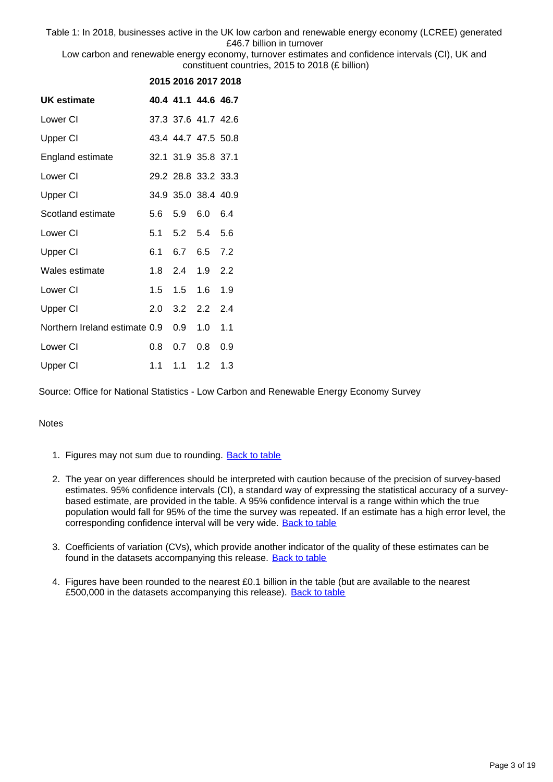Table 1: In 2018, businesses active in the UK low carbon and renewable energy economy (LCREE) generated £46.7 billion in turnover

Low carbon and renewable energy economy, turnover estimates and confidence intervals (CI), UK and constituent countries, 2015 to 2018 (£ billion)

|                               |     | 2015 2016 2017 2018 |         |     |
|-------------------------------|-----|---------------------|---------|-----|
| <b>UK estimate</b>            |     | 40.4 41.1 44.6 46.7 |         |     |
| Lower CI                      |     | 37.3 37.6 41.7 42.6 |         |     |
| Upper CI                      |     | 43.4 44.7 47.5 50.8 |         |     |
| England estimate              |     | 32.1 31.9 35.8 37.1 |         |     |
| Lower CI                      |     | 29.2 28.8 33.2 33.3 |         |     |
| Upper CI                      |     | 34.9 35.0 38.4 40.9 |         |     |
| Scotland estimate             | 5.6 | 5.9                 | 6.0     | 6.4 |
| Lower CI                      | 5.1 | 5.2 5.4             |         | 5.6 |
| Upper CI                      | 6.1 | 6.7                 | 6.5 7.2 |     |
| Wales estimate                |     | 1.8 2.4 1.9         |         | 2.2 |
| Lower CI                      |     | $1.5 \quad 1.5$     | 1.6     | 1.9 |
| Upper CI                      | 2.0 | 3.2                 | 2.2     | 2.4 |
| Northern Ireland estimate 0.9 |     | 0.9                 | 1.0     | 1.1 |
| Lower CI                      | 0.8 | 0.7                 | $0.8\,$ | 0.9 |
| Upper CI                      |     | 1.1 1.1 1.2         |         | 1.3 |

Source: Office for National Statistics - Low Carbon and Renewable Energy Economy Survey

- 1. Figures may not sum due to rounding. [Back to table](#page-0-0)
- 2. The year on year differences should be interpreted with caution because of the precision of survey-based estimates. 95% confidence intervals (CI), a standard way of expressing the statistical accuracy of a surveybased estimate, are provided in the table. A 95% confidence interval is a range within which the true population would fall for 95% of the time the survey was repeated. If an estimate has a high error level, the corresponding confidence interval will be very wide. [Back to table](#page-0-0)
- 3. Coefficients of variation (CVs), which provide another indicator of the quality of these estimates can be found in the datasets accompanying this release. [Back to table](#page-0-0)
- 4. Figures have been rounded to the nearest £0.1 billion in the table (but are available to the nearest £500,000 in the datasets accompanying this release). [Back to table](#page-0-0)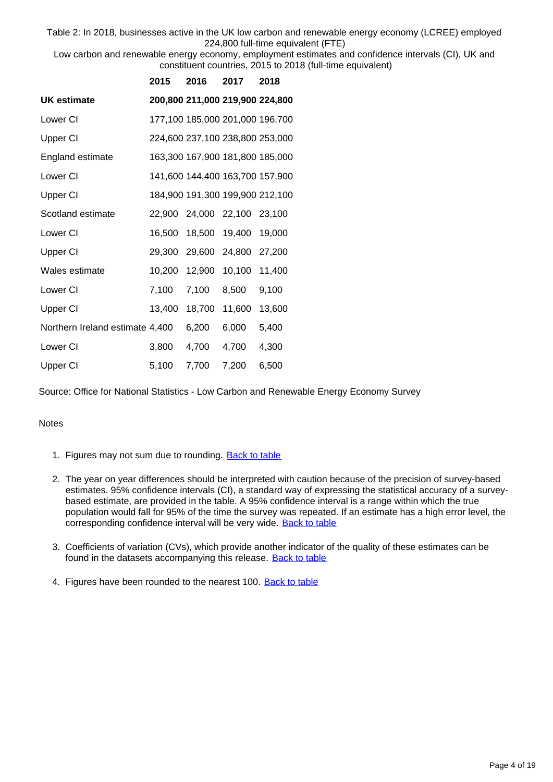Table 2: In 2018, businesses active in the UK low carbon and renewable energy economy (LCREE) employed 224,800 full-time equivalent (FTE)

Low carbon and renewable energy economy, employment estimates and confidence intervals (CI), UK and constituent countries, 2015 to 2018 (full-time equivalent)

|                                 | 2015   | 2016                            | 2017   | 2018   |
|---------------------------------|--------|---------------------------------|--------|--------|
| UK estimate                     |        | 200,800 211,000 219,900 224,800 |        |        |
| Lower CI                        |        | 177,100 185,000 201,000 196,700 |        |        |
| <b>Upper CI</b>                 |        | 224,600 237,100 238,800 253,000 |        |        |
| England estimate                |        | 163,300 167,900 181,800 185,000 |        |        |
| Lower CI                        |        | 141,600 144,400 163,700 157,900 |        |        |
| Upper CI                        |        | 184,900 191,300 199,900 212,100 |        |        |
| Scotland estimate               |        | 22,900 24,000 22,100 23,100     |        |        |
| Lower CI                        | 16.500 | 18,500                          | 19,400 | 19,000 |
| Upper CI                        | 29,300 | 29,600                          | 24,800 | 27,200 |
| Wales estimate                  | 10,200 | 12,900                          | 10,100 | 11,400 |
| Lower CI                        | 7,100  | 7,100                           | 8,500  | 9,100  |
| <b>Upper CI</b>                 | 13,400 | 18,700                          | 11,600 | 13,600 |
| Northern Ireland estimate 4,400 |        | 6,200                           | 6,000  | 5,400  |
| Lower CI                        | 3,800  | 4,700                           | 4,700  | 4,300  |
| Upper CI                        | 5,100  | 7,700                           | 7,200  | 6,500  |

Source: Office for National Statistics - Low Carbon and Renewable Energy Economy Survey

- 1. Figures may not sum due to rounding. [Back to table](#page-0-0)
- 2. The year on year differences should be interpreted with caution because of the precision of survey-based estimates. 95% confidence intervals (CI), a standard way of expressing the statistical accuracy of a surveybased estimate, are provided in the table. A 95% confidence interval is a range within which the true population would fall for 95% of the time the survey was repeated. If an estimate has a high error level, the corresponding confidence interval will be very wide. [Back to table](#page-0-0)
- 3. Coefficients of variation (CVs), which provide another indicator of the quality of these estimates can be found in the datasets accompanying this release. [Back to table](#page-0-0)
- 4. Figures have been rounded to the nearest 100. [Back to table](#page-0-0)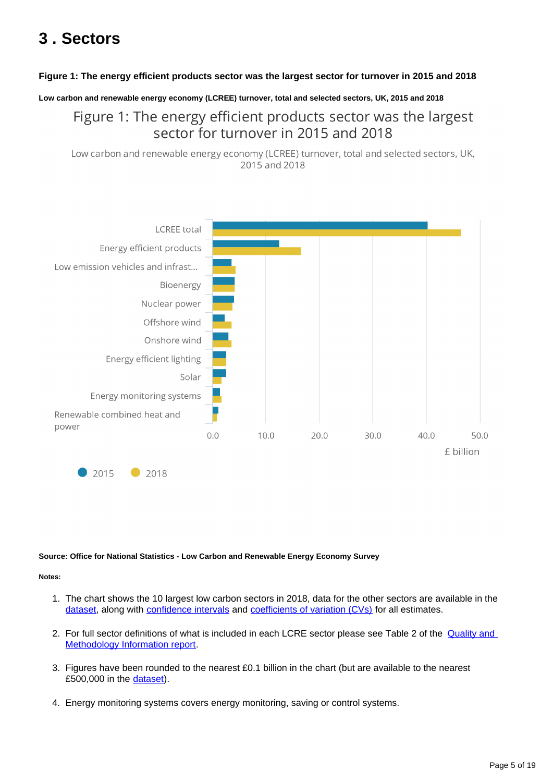# <span id="page-4-0"></span>**3 . Sectors**

#### **Figure 1: The energy efficient products sector was the largest sector for turnover in 2015 and 2018**

**Low carbon and renewable energy economy (LCREE) turnover, total and selected sectors, UK, 2015 and 2018**

## Figure 1: The energy efficient products sector was the largest sector for turnover in 2015 and 2018

Low carbon and renewable energy economy (LCREE) turnover, total and selected sectors, UK, 2015 and 2018



#### **Source: Office for National Statistics - Low Carbon and Renewable Energy Economy Survey**

- 1. The chart shows the 10 largest low carbon sectors in 2018, data for the other sectors are available in the [dataset,](https://www.ons.gov.uk/economy/environmentalaccounts/datasets/lowcarbonandrenewableenergyeconomyfirstestimatesdataset) along with [confidence intervals](https://www.ons.gov.uk/methodology/methodologytopicsandstatisticalconcepts/uncertaintyandhowwemeasureit#confidence-interval) and [coefficients of variation \(CVs\)](https://www.ons.gov.uk/methodology/methodologytopicsandstatisticalconcepts/uncertaintyandhowwemeasureit#coefficient-of-variation) for all estimates.
- 2. For full sector definitions of what is included in each LCRE sector please see Table 2 of the Quality and [Methodology Information report.](https://www.ons.gov.uk/economy/environmentalaccounts/methodologies/lowcarbonandrenewableenergyeconomylcreesurveyqmi)
- 3. Figures have been rounded to the nearest £0.1 billion in the chart (but are available to the nearest £500,000 in the [dataset](https://www.ons.gov.uk/economy/environmentalaccounts/datasets/lowcarbonandrenewableenergyeconomyfirstestimatesdataset)).
- 4. Energy monitoring systems covers energy monitoring, saving or control systems.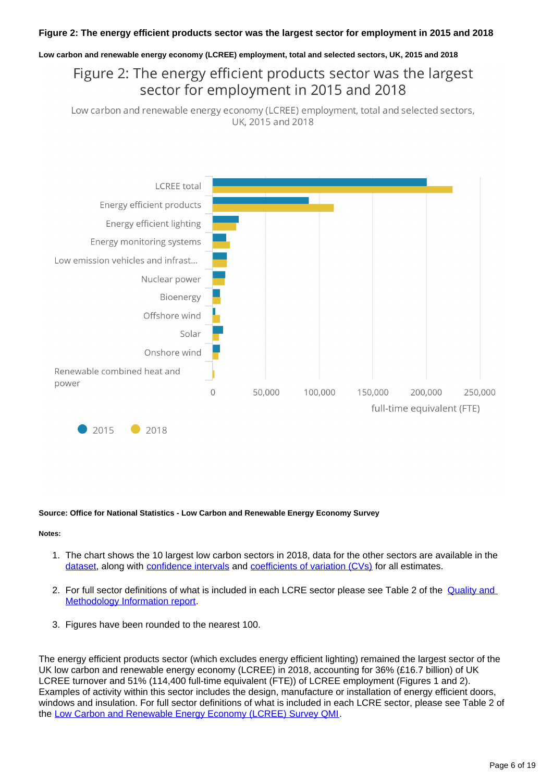#### **Figure 2: The energy efficient products sector was the largest sector for employment in 2015 and 2018**

#### **Low carbon and renewable energy economy (LCREE) employment, total and selected sectors, UK, 2015 and 2018**

## Figure 2: The energy efficient products sector was the largest sector for employment in 2015 and 2018

Low carbon and renewable energy economy (LCREE) employment, total and selected sectors, UK, 2015 and 2018



#### **Source: Office for National Statistics - Low Carbon and Renewable Energy Economy Survey**

#### **Notes:**

- 1. The chart shows the 10 largest low carbon sectors in 2018, data for the other sectors are available in the [dataset,](https://www.ons.gov.uk/economy/environmentalaccounts/datasets/lowcarbonandrenewableenergyeconomyfirstestimatesdataset) along with [confidence intervals](https://www.ons.gov.uk/methodology/methodologytopicsandstatisticalconcepts/uncertaintyandhowwemeasureit#confidence-interval) and [coefficients of variation \(CVs\)](https://www.ons.gov.uk/methodology/methodologytopicsandstatisticalconcepts/uncertaintyandhowwemeasureit#coefficient-of-variation) for all estimates.
- 2. For full sector definitions of what is included in each LCRE sector please see Table 2 of the Quality and [Methodology Information report.](https://www.ons.gov.uk/economy/environmentalaccounts/methodologies/lowcarbonandrenewableenergyeconomylcreesurveyqmi)
- 3. Figures have been rounded to the nearest 100.

The energy efficient products sector (which excludes energy efficient lighting) remained the largest sector of the UK low carbon and renewable energy economy (LCREE) in 2018, accounting for 36% (£16.7 billion) of UK LCREE turnover and 51% (114,400 full-time equivalent (FTE)) of LCREE employment (Figures 1 and 2). Examples of activity within this sector includes the design, manufacture or installation of energy efficient doors, windows and insulation. For full sector definitions of what is included in each LCRE sector, please see Table 2 of the [Low Carbon and Renewable Energy Economy \(LCREE\) Survey QMI.](https://www.ons.gov.uk/economy/environmentalaccounts/methodologies/lowcarbonandrenewableenergyeconomylcreesurveyqmi)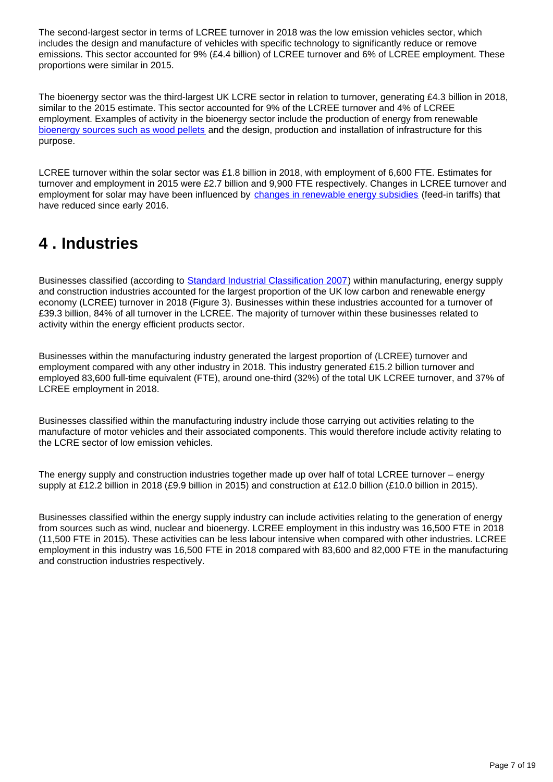The second-largest sector in terms of LCREE turnover in 2018 was the low emission vehicles sector, which includes the design and manufacture of vehicles with specific technology to significantly reduce or remove emissions. This sector accounted for 9% (£4.4 billion) of LCREE turnover and 6% of LCREE employment. These proportions were similar in 2015.

The bioenergy sector was the third-largest UK LCRE sector in relation to turnover, generating £4.3 billion in 2018, similar to the 2015 estimate. This sector accounted for 9% of the LCREE turnover and 4% of LCREE employment. Examples of activity in the bioenergy sector include the production of energy from renewable [bioenergy sources such as wood pellets](https://www.ons.gov.uk/economy/environmentalaccounts/articles/aburningissuebiomassisthebiggestsourceofrenewableenergyconsumedintheuk/2019-08-30) and the design, production and installation of infrastructure for this purpose.

LCREE turnover within the solar sector was £1.8 billion in 2018, with employment of 6,600 FTE. Estimates for turnover and employment in 2015 were £2.7 billion and 9,900 FTE respectively. Changes in LCREE turnover and employment for solar may have been influenced by [changes in renewable energy subsidies](https://www.ofgem.gov.uk/environmental-programmes) (feed-in tariffs) that have reduced since early 2016.

# <span id="page-6-0"></span>**4 . Industries**

Businesses classified (according to [Standard Industrial Classification 2007\)](https://www.ons.gov.uk/methodology/classificationsandstandards/ukstandardindustrialclassificationofeconomicactivities/uksic2007) within manufacturing, energy supply and construction industries accounted for the largest proportion of the UK low carbon and renewable energy economy (LCREE) turnover in 2018 (Figure 3). Businesses within these industries accounted for a turnover of £39.3 billion, 84% of all turnover in the LCREE. The majority of turnover within these businesses related to activity within the energy efficient products sector.

Businesses within the manufacturing industry generated the largest proportion of (LCREE) turnover and employment compared with any other industry in 2018. This industry generated £15.2 billion turnover and employed 83,600 full-time equivalent (FTE), around one-third (32%) of the total UK LCREE turnover, and 37% of LCREE employment in 2018.

Businesses classified within the manufacturing industry include those carrying out activities relating to the manufacture of motor vehicles and their associated components. This would therefore include activity relating to the LCRE sector of low emission vehicles.

The energy supply and construction industries together made up over half of total LCREE turnover – energy supply at £12.2 billion in 2018 (£9.9 billion in 2015) and construction at £12.0 billion (£10.0 billion in 2015).

Businesses classified within the energy supply industry can include activities relating to the generation of energy from sources such as wind, nuclear and bioenergy. LCREE employment in this industry was 16,500 FTE in 2018 (11,500 FTE in 2015). These activities can be less labour intensive when compared with other industries. LCREE employment in this industry was 16,500 FTE in 2018 compared with 83,600 and 82,000 FTE in the manufacturing and construction industries respectively.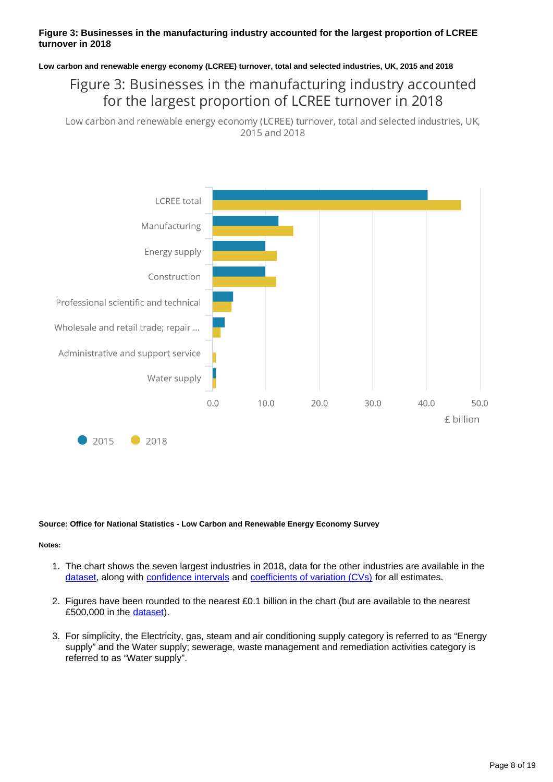#### **Figure 3: Businesses in the manufacturing industry accounted for the largest proportion of LCREE turnover in 2018**

**Low carbon and renewable energy economy (LCREE) turnover, total and selected industries, UK, 2015 and 2018**

## Figure 3: Businesses in the manufacturing industry accounted for the largest proportion of LCREE turnover in 2018

Low carbon and renewable energy economy (LCREE) turnover, total and selected industries, UK, 2015 and 2018



#### **Source: Office for National Statistics - Low Carbon and Renewable Energy Economy Survey**

- 1. The chart shows the seven largest industries in 2018, data for the other industries are available in the [dataset,](https://www.ons.gov.uk/economy/environmentalaccounts/datasets/lowcarbonandrenewableenergyeconomyfirstestimatesdataset) along with [confidence intervals](https://www.ons.gov.uk/methodology/methodologytopicsandstatisticalconcepts/uncertaintyandhowwemeasureit#confidence-interval) and [coefficients of variation \(CVs\)](https://www.ons.gov.uk/methodology/methodologytopicsandstatisticalconcepts/uncertaintyandhowwemeasureit#coefficient-of-variation) for all estimates.
- 2. Figures have been rounded to the nearest £0.1 billion in the chart (but are available to the nearest £500,000 in the [dataset](https://www.ons.gov.uk/economy/environmentalaccounts/datasets/lowcarbonandrenewableenergyeconomyfirstestimatesdataset)).
- 3. For simplicity, the Electricity, gas, steam and air conditioning supply category is referred to as "Energy supply" and the Water supply; sewerage, waste management and remediation activities category is referred to as "Water supply".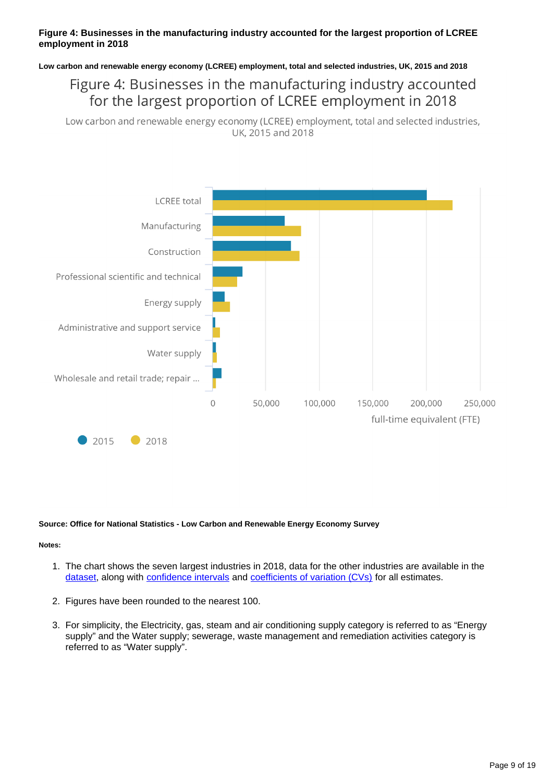#### **Figure 4: Businesses in the manufacturing industry accounted for the largest proportion of LCREE employment in 2018**

**Low carbon and renewable energy economy (LCREE) employment, total and selected industries, UK, 2015 and 2018**

## Figure 4: Businesses in the manufacturing industry accounted for the largest proportion of LCREE employment in 2018

Low carbon and renewable energy economy (LCREE) employment, total and selected industries, UK, 2015 and 2018



#### **Source: Office for National Statistics - Low Carbon and Renewable Energy Economy Survey**

- 1. The chart shows the seven largest industries in 2018, data for the other industries are available in the [dataset,](https://www.ons.gov.uk/economy/environmentalaccounts/datasets/lowcarbonandrenewableenergyeconomyfirstestimatesdataset) along with [confidence intervals](https://www.ons.gov.uk/methodology/methodologytopicsandstatisticalconcepts/uncertaintyandhowwemeasureit#confidence-interval) and [coefficients of variation \(CVs\)](https://www.ons.gov.uk/methodology/methodologytopicsandstatisticalconcepts/uncertaintyandhowwemeasureit#coefficient-of-variation) for all estimates.
- 2. Figures have been rounded to the nearest 100.
- 3. For simplicity, the Electricity, gas, steam and air conditioning supply category is referred to as "Energy supply" and the Water supply; sewerage, waste management and remediation activities category is referred to as "Water supply".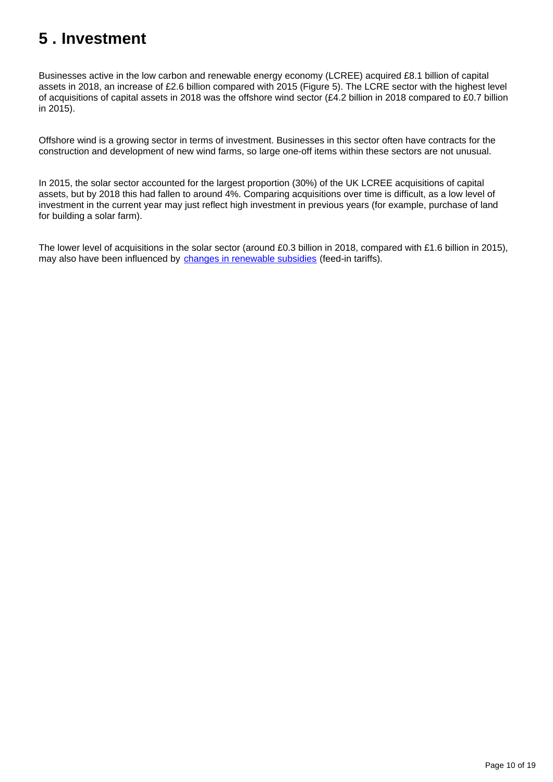# <span id="page-9-0"></span>**5 . Investment**

Businesses active in the low carbon and renewable energy economy (LCREE) acquired £8.1 billion of capital assets in 2018, an increase of £2.6 billion compared with 2015 (Figure 5). The LCRE sector with the highest level of acquisitions of capital assets in 2018 was the offshore wind sector (£4.2 billion in 2018 compared to £0.7 billion in 2015).

Offshore wind is a growing sector in terms of investment. Businesses in this sector often have contracts for the construction and development of new wind farms, so large one-off items within these sectors are not unusual.

In 2015, the solar sector accounted for the largest proportion (30%) of the UK LCREE acquisitions of capital assets, but by 2018 this had fallen to around 4%. Comparing acquisitions over time is difficult, as a low level of investment in the current year may just reflect high investment in previous years (for example, purchase of land for building a solar farm).

The lower level of acquisitions in the solar sector (around £0.3 billion in 2018, compared with £1.6 billion in 2015), may also have been influenced by [changes in renewable subsidies](https://www.ofgem.gov.uk/environmental-programmes) (feed-in tariffs).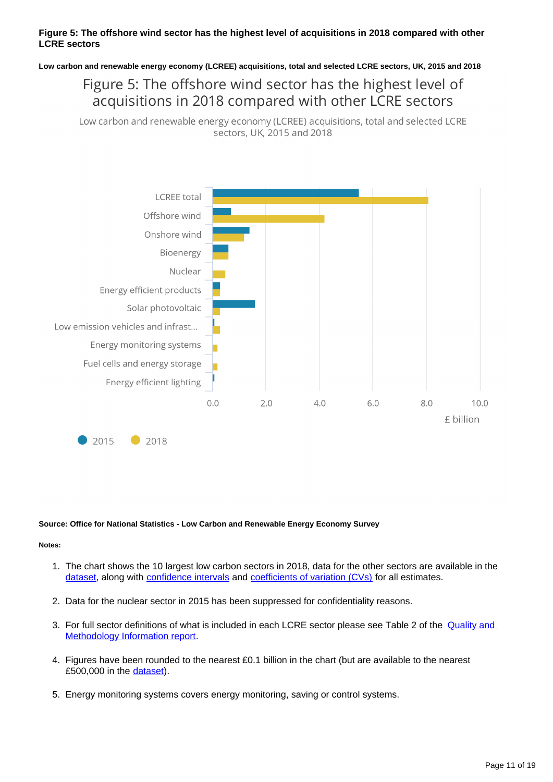#### **Figure 5: The offshore wind sector has the highest level of acquisitions in 2018 compared with other LCRE sectors**

**Low carbon and renewable energy economy (LCREE) acquisitions, total and selected LCRE sectors, UK, 2015 and 2018**

## Figure 5: The offshore wind sector has the highest level of acquisitions in 2018 compared with other LCRE sectors

Low carbon and renewable energy economy (LCREE) acquisitions, total and selected LCRE sectors, UK, 2015 and 2018



#### **Source: Office for National Statistics - Low Carbon and Renewable Energy Economy Survey**

- 1. The chart shows the 10 largest low carbon sectors in 2018, data for the other sectors are available in the [dataset,](https://www.ons.gov.uk/economy/environmentalaccounts/datasets/lowcarbonandrenewableenergyeconomyfirstestimatesdataset) along with [confidence intervals](https://www.ons.gov.uk/methodology/methodologytopicsandstatisticalconcepts/uncertaintyandhowwemeasureit#confidence-interval) and [coefficients of variation \(CVs\)](https://www.ons.gov.uk/methodology/methodologytopicsandstatisticalconcepts/uncertaintyandhowwemeasureit#coefficient-of-variation) for all estimates.
- 2. Data for the nuclear sector in 2015 has been suppressed for confidentiality reasons.
- 3. For full sector definitions of what is included in each LCRE sector please see Table 2 of the *Quality and* [Methodology Information report.](https://www.ons.gov.uk/economy/environmentalaccounts/methodologies/lowcarbonandrenewableenergyeconomylcreesurveyqmi)
- 4. Figures have been rounded to the nearest £0.1 billion in the chart (but are available to the nearest £500,000 in the [dataset](https://www.ons.gov.uk/economy/environmentalaccounts/datasets/lowcarbonandrenewableenergyeconomyfirstestimatesdataset)).
- 5. Energy monitoring systems covers energy monitoring, saving or control systems.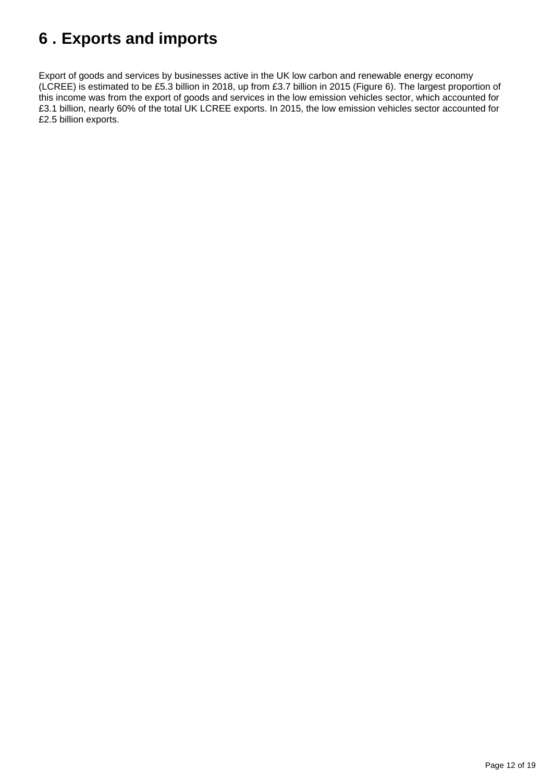# <span id="page-11-0"></span>**6 . Exports and imports**

Export of goods and services by businesses active in the UK low carbon and renewable energy economy (LCREE) is estimated to be £5.3 billion in 2018, up from £3.7 billion in 2015 (Figure 6). The largest proportion of this income was from the export of goods and services in the low emission vehicles sector, which accounted for £3.1 billion, nearly 60% of the total UK LCREE exports. In 2015, the low emission vehicles sector accounted for £2.5 billion exports.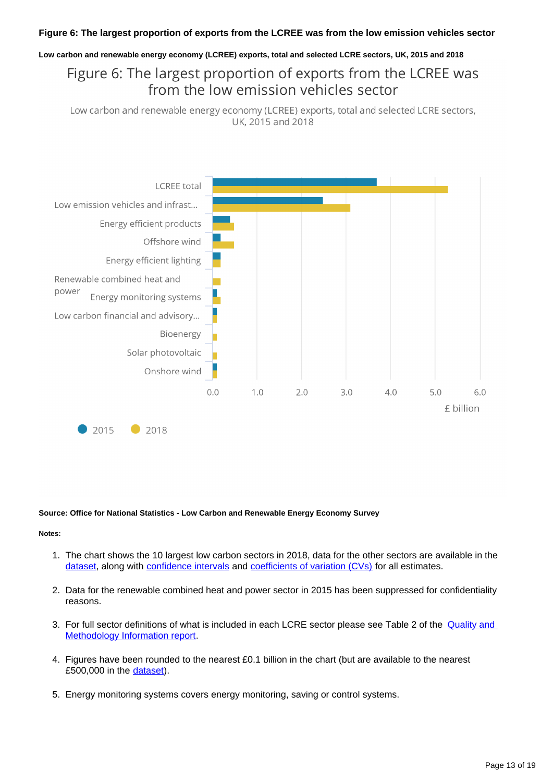#### **Figure 6: The largest proportion of exports from the LCREE was from the low emission vehicles sector**

#### **Low carbon and renewable energy economy (LCREE) exports, total and selected LCRE sectors, UK, 2015 and 2018**

## Figure 6: The largest proportion of exports from the LCREE was from the low emission vehicles sector

Low carbon and renewable energy economy (LCREE) exports, total and selected LCRE sectors, UK, 2015 and 2018



#### **Source: Office for National Statistics - Low Carbon and Renewable Energy Economy Survey**

- 1. The chart shows the 10 largest low carbon sectors in 2018, data for the other sectors are available in the [dataset,](https://www.ons.gov.uk/economy/environmentalaccounts/datasets/lowcarbonandrenewableenergyeconomyfirstestimatesdataset) along with [confidence intervals](https://www.ons.gov.uk/methodology/methodologytopicsandstatisticalconcepts/uncertaintyandhowwemeasureit#confidence-interval) and [coefficients of variation \(CVs\)](https://www.ons.gov.uk/methodology/methodologytopicsandstatisticalconcepts/uncertaintyandhowwemeasureit#coefficient-of-variation) for all estimates.
- 2. Data for the renewable combined heat and power sector in 2015 has been suppressed for confidentiality reasons.
- 3. For full sector definitions of what is included in each LCRE sector please see Table 2 of the *Quality and* [Methodology Information report.](https://www.ons.gov.uk/economy/environmentalaccounts/methodologies/lowcarbonandrenewableenergyeconomylcreesurveyqmi)
- 4. Figures have been rounded to the nearest £0.1 billion in the chart (but are available to the nearest £500,000 in the [dataset](https://www.ons.gov.uk/economy/environmentalaccounts/datasets/lowcarbonandrenewableenergyeconomyfirstestimatesdataset)).
- 5. Energy monitoring systems covers energy monitoring, saving or control systems.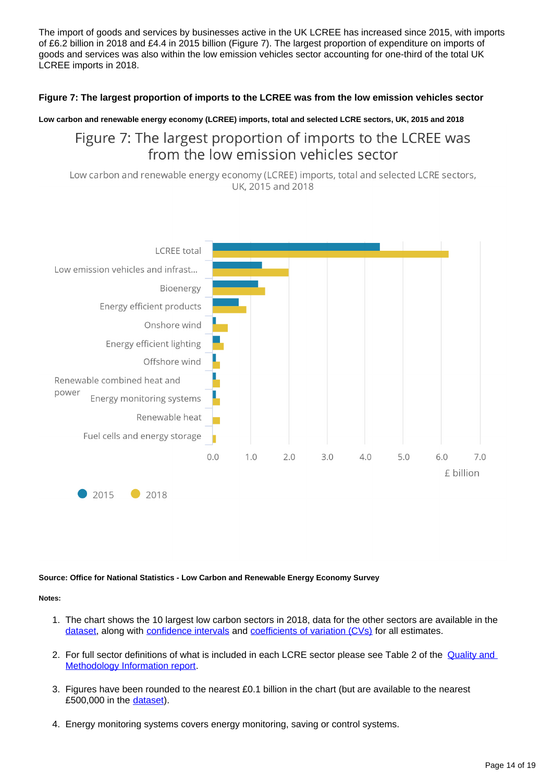The import of goods and services by businesses active in the UK LCREE has increased since 2015, with imports of £6.2 billion in 2018 and £4.4 in 2015 billion (Figure 7). The largest proportion of expenditure on imports of goods and services was also within the low emission vehicles sector accounting for one-third of the total UK LCREE imports in 2018.

#### **Figure 7: The largest proportion of imports to the LCREE was from the low emission vehicles sector**

#### **Low carbon and renewable energy economy (LCREE) imports, total and selected LCRE sectors, UK, 2015 and 2018**

## Figure 7: The largest proportion of imports to the LCREE was from the low emission vehicles sector

Low carbon and renewable energy economy (LCREE) imports, total and selected LCRE sectors, UK, 2015 and 2018



#### **Source: Office for National Statistics - Low Carbon and Renewable Energy Economy Survey**

- 1. The chart shows the 10 largest low carbon sectors in 2018, data for the other sectors are available in the [dataset,](https://www.ons.gov.uk/economy/environmentalaccounts/datasets/lowcarbonandrenewableenergyeconomyfirstestimatesdataset) along with [confidence intervals](https://www.ons.gov.uk/methodology/methodologytopicsandstatisticalconcepts/uncertaintyandhowwemeasureit#confidence-interval) and [coefficients of variation \(CVs\)](https://www.ons.gov.uk/methodology/methodologytopicsandstatisticalconcepts/uncertaintyandhowwemeasureit#coefficient-of-variation) for all estimates.
- 2. For full sector definitions of what is included in each LCRE sector please see Table 2 of the Quality and [Methodology Information report.](https://www.ons.gov.uk/economy/environmentalaccounts/methodologies/lowcarbonandrenewableenergyeconomylcreesurveyqmi)
- 3. Figures have been rounded to the nearest £0.1 billion in the chart (but are available to the nearest £500,000 in the [dataset](https://www.ons.gov.uk/economy/environmentalaccounts/datasets/lowcarbonandrenewableenergyeconomyfirstestimatesdataset)).
- 4. Energy monitoring systems covers energy monitoring, saving or control systems.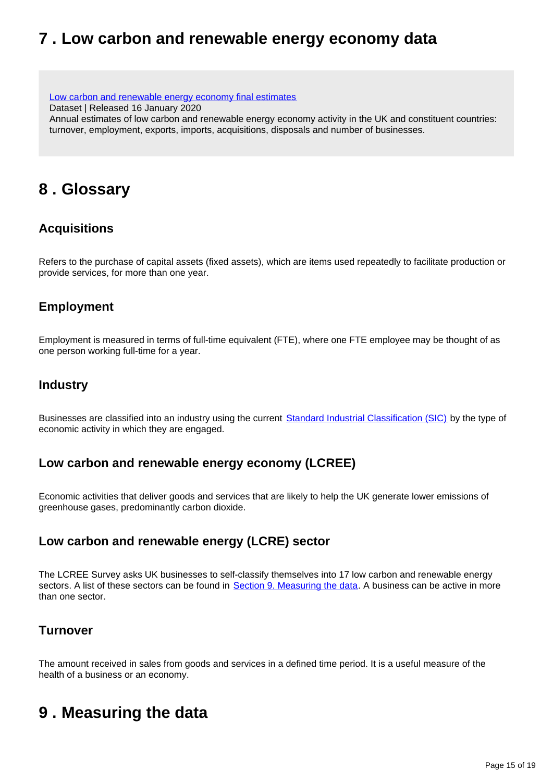## <span id="page-14-0"></span>**7 . Low carbon and renewable energy economy data**

[Low carbon and renewable energy economy final estimates](https://www.ons.gov.uk/economy/environmentalaccounts/datasets/lowcarbonandrenewableenergyeconomyfirstestimatesdataset) Dataset | Released 16 January 2020 Annual estimates of low carbon and renewable energy economy activity in the UK and constituent countries: turnover, employment, exports, imports, acquisitions, disposals and number of businesses.

## <span id="page-14-1"></span>**8 . Glossary**

## **Acquisitions**

Refers to the purchase of capital assets (fixed assets), which are items used repeatedly to facilitate production or provide services, for more than one year.

## **Employment**

Employment is measured in terms of full-time equivalent (FTE), where one FTE employee may be thought of as one person working full-time for a year.

### **Industry**

Businesses are classified into an industry using the current [Standard Industrial Classification \(SIC\)](https://www.ons.gov.uk/methodology/classificationsandstandards/ukstandardindustrialclassificationofeconomicactivities/uksic2007) by the type of economic activity in which they are engaged.

### **Low carbon and renewable energy economy (LCREE)**

Economic activities that deliver goods and services that are likely to help the UK generate lower emissions of greenhouse gases, predominantly carbon dioxide.

## **Low carbon and renewable energy (LCRE) sector**

The LCREE Survey asks UK businesses to self-classify themselves into 17 low carbon and renewable energy sectors. A list of these sectors can be found in [Section 9. Measuring the data.](https://www.ons.gov.uk/economy/environmentalaccounts/bulletins/finalestimates/2018#measuring-the-data) A business can be active in more than one sector.

### **Turnover**

The amount received in sales from goods and services in a defined time period. It is a useful measure of the health of a business or an economy.

## <span id="page-14-2"></span>**9 . Measuring the data**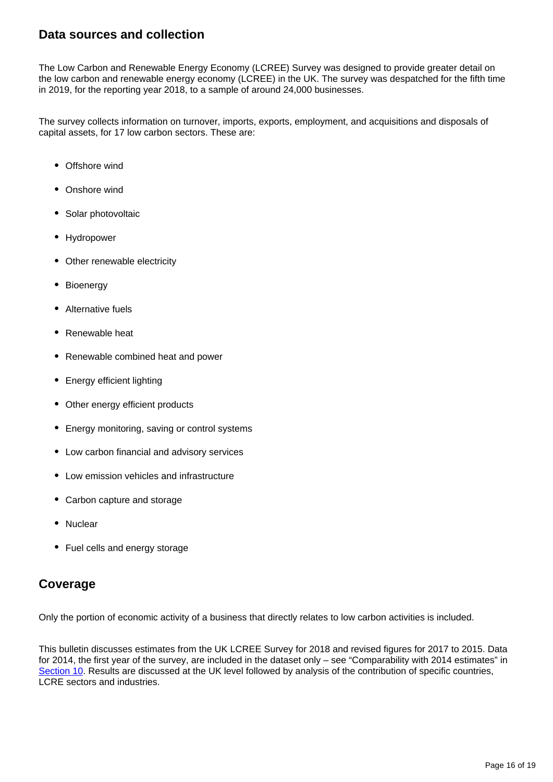### **Data sources and collection**

The Low Carbon and Renewable Energy Economy (LCREE) Survey was designed to provide greater detail on the low carbon and renewable energy economy (LCREE) in the UK. The survey was despatched for the fifth time in 2019, for the reporting year 2018, to a sample of around 24,000 businesses.

The survey collects information on turnover, imports, exports, employment, and acquisitions and disposals of capital assets, for 17 low carbon sectors. These are:

- Offshore wind
- Onshore wind
- Solar photovoltaic
- Hydropower
- Other renewable electricity
- Bioenergy
- Alternative fuels
- Renewable heat
- Renewable combined heat and power
- Energy efficient lighting
- Other energy efficient products
- Energy monitoring, saving or control systems
- Low carbon financial and advisory services
- Low emission vehicles and infrastructure
- Carbon capture and storage
- Nuclear
- Fuel cells and energy storage

### **Coverage**

Only the portion of economic activity of a business that directly relates to low carbon activities is included.

This bulletin discusses estimates from the UK LCREE Survey for 2018 and revised figures for 2017 to 2015. Data for 2014, the first year of the survey, are included in the dataset only – see "Comparability with 2014 estimates" in [Section 10.](https://www.ons.gov.uk/economy/environmentalaccounts/bulletins/finalestimates/2018#strengths-and-limitations) Results are discussed at the UK level followed by analysis of the contribution of specific countries, LCRE sectors and industries.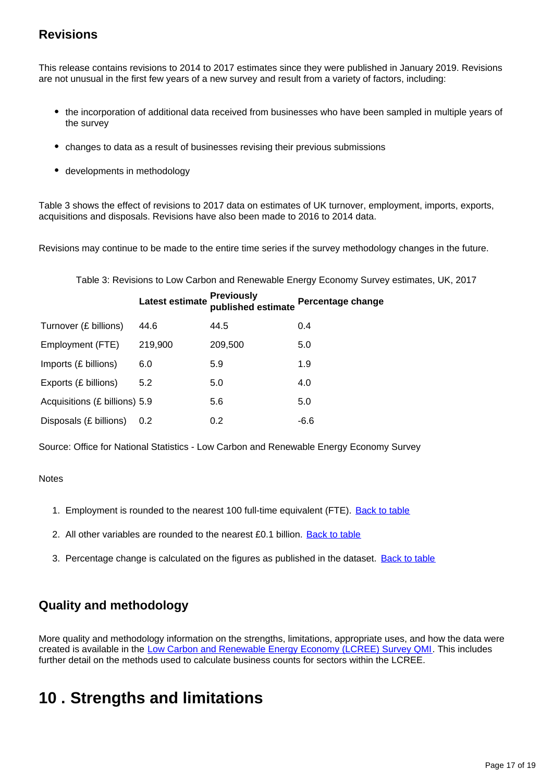## **Revisions**

This release contains revisions to 2014 to 2017 estimates since they were published in January 2019. Revisions are not unusual in the first few years of a new survey and result from a variety of factors, including:

- the incorporation of additional data received from businesses who have been sampled in multiple years of the survey
- changes to data as a result of businesses revising their previous submissions
- developments in methodology

Table 3 shows the effect of revisions to 2017 data on estimates of UK turnover, employment, imports, exports, acquisitions and disposals. Revisions have also been made to 2016 to 2014 data.

Revisions may continue to be made to the entire time series if the survey methodology changes in the future.

Table 3: Revisions to Low Carbon and Renewable Energy Economy Survey estimates, UK, 2017

|                               | Latest estimate | <b>Previously</b><br>published estimate | <b>Percentage change</b> |
|-------------------------------|-----------------|-----------------------------------------|--------------------------|
| Turnover (£ billions)         | 44.6            | 44.5                                    | 0.4                      |
| Employment (FTE)              | 219,900         | 209,500                                 | 5.0                      |
| Imports (£ billions)          | 6.0             | 5.9                                     | 1.9                      |
| Exports (£ billions)          | 5.2             | 5.0                                     | 4.0                      |
| Acquisitions (£ billions) 5.9 |                 | 5.6                                     | 5.0                      |
| Disposals (£ billions)        | 0.2             | 0.2                                     | $-6.6$                   |

Source: Office for National Statistics - Low Carbon and Renewable Energy Economy Survey

#### **Notes**

- 1. Employment is rounded to the nearest 100 full-time equivalent (FTE). [Back to table](#page-0-0)
- 2. All other variables are rounded to the nearest £0.1 billion. **[Back to table](#page-0-0)**
- 3. Percentage change is calculated on the figures as published in the dataset. **[Back to table](#page-0-0)**

## **Quality and methodology**

More quality and methodology information on the strengths, limitations, appropriate uses, and how the data were created is available in the [Low Carbon and Renewable Energy Economy \(LCREE\) Survey QMI.](https://www.ons.gov.uk/economy/environmentalaccounts/methodologies/lowcarbonandrenewableenergyeconomylcreesurveyqmi) This includes further detail on the methods used to calculate business counts for sectors within the LCREE.

## <span id="page-16-0"></span>**10 . Strengths and limitations**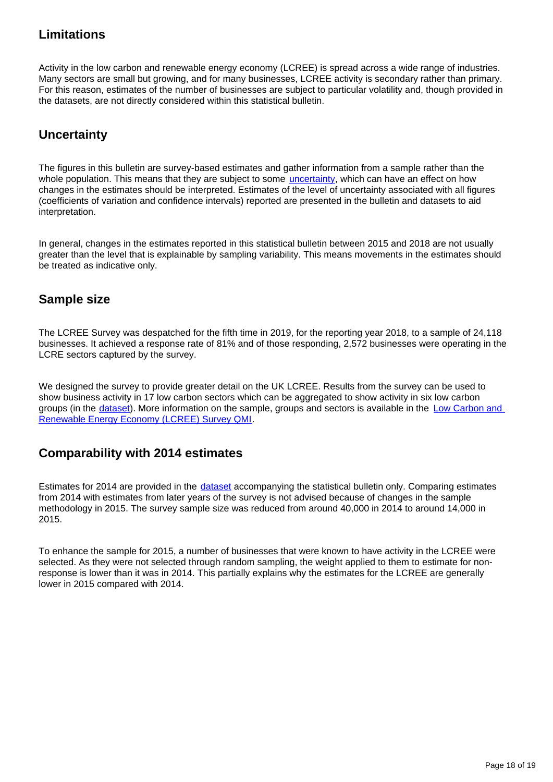## **Limitations**

Activity in the low carbon and renewable energy economy (LCREE) is spread across a wide range of industries. Many sectors are small but growing, and for many businesses, LCREE activity is secondary rather than primary. For this reason, estimates of the number of businesses are subject to particular volatility and, though provided in the datasets, are not directly considered within this statistical bulletin.

## **Uncertainty**

The figures in this bulletin are survey-based estimates and gather information from a sample rather than the whole population. This means that they are subject to some *uncertainty*, which can have an effect on how changes in the estimates should be interpreted. Estimates of the level of uncertainty associated with all figures (coefficients of variation and confidence intervals) reported are presented in the bulletin and datasets to aid interpretation.

In general, changes in the estimates reported in this statistical bulletin between 2015 and 2018 are not usually greater than the level that is explainable by sampling variability. This means movements in the estimates should be treated as indicative only.

### **Sample size**

The LCREE Survey was despatched for the fifth time in 2019, for the reporting year 2018, to a sample of 24,118 businesses. It achieved a response rate of 81% and of those responding, 2,572 businesses were operating in the LCRE sectors captured by the survey.

We designed the survey to provide greater detail on the UK LCREE. Results from the survey can be used to show business activity in 17 low carbon sectors which can be aggregated to show activity in six low carbon groups (in the [dataset\)](http://www.ons.gov.uk/economy/environmentalaccounts/datasets/lowcarbonandrenewableenergyeconomyfirstestimatesdataset). More information on the sample, groups and sectors is available in the Low Carbon and [Renewable Energy Economy \(LCREE\) Survey QMI](https://www.ons.gov.uk/economy/environmentalaccounts/qmis/lowcarbonandrenewableenergyeconomylcreesurvey).

## **Comparability with 2014 estimates**

Estimates for 2014 are provided in the *[dataset](https://www.ons.gov.uk/economy/environmentalaccounts/datasets/lowcarbonandrenewableenergyeconomyfirstestimatesdataset)* accompanying the statistical bulletin only. Comparing estimates from 2014 with estimates from later years of the survey is not advised because of changes in the sample methodology in 2015. The survey sample size was reduced from around 40,000 in 2014 to around 14,000 in 2015.

To enhance the sample for 2015, a number of businesses that were known to have activity in the LCREE were selected. As they were not selected through random sampling, the weight applied to them to estimate for nonresponse is lower than it was in 2014. This partially explains why the estimates for the LCREE are generally lower in 2015 compared with 2014.